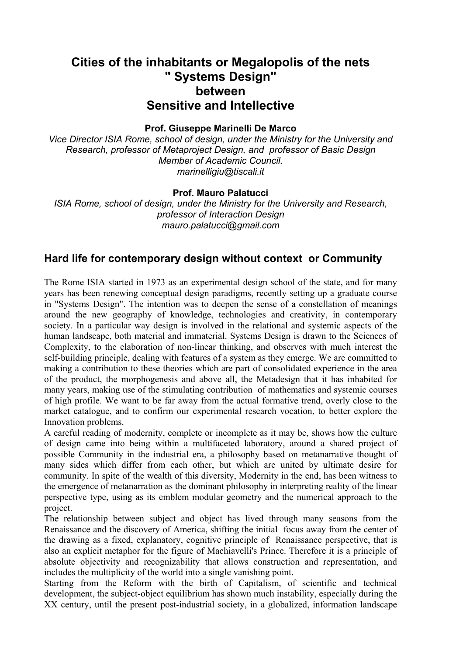# **Cities of the inhabitants or Megalopolis of the nets " Systems Design" between Sensitive and Intellective**

#### **Prof. Giuseppe Marinelli De Marco**

*Vice Director ISIA Rome, school of design, under the Ministry for the University and Research, professor of Metaproject Design, and professor of Basic Design Member of Academic Council. marinelligiu@tiscali.it* 

#### **Prof. Mauro Palatucci**

*ISIA Rome, school of design, under the Ministry for the University and Research, professor of Interaction Design mauro.palatucci@gmail.com* 

### **Hard life for contemporary design without context or Community**

The Rome ISIA started in 1973 as an experimental design school of the state, and for many years has been renewing conceptual design paradigms, recently setting up a graduate course in "Systems Design". The intention was to deepen the sense of a constellation of meanings around the new geography of knowledge, technologies and creativity, in contemporary society. In a particular way design is involved in the relational and systemic aspects of the human landscape, both material and immaterial. Systems Design is drawn to the Sciences of Complexity, to the elaboration of non-linear thinking, and observes with much interest the self-building principle, dealing with features of a system as they emerge. We are committed to making a contribution to these theories which are part of consolidated experience in the area of the product, the morphogenesis and above all, the Metadesign that it has inhabited for many years, making use of the stimulating contribution of mathematics and systemic courses of high profile. We want to be far away from the actual formative trend, overly close to the market catalogue, and to confirm our experimental research vocation, to better explore the Innovation problems.

A careful reading of modernity, complete or incomplete as it may be, shows how the culture of design came into being within a multifaceted laboratory, around a shared project of possible Community in the industrial era, a philosophy based on metanarrative thought of many sides which differ from each other, but which are united by ultimate desire for community. In spite of the wealth of this diversity, Modernity in the end, has been witness to the emergence of metanarration as the dominant philosophy in interpreting reality of the linear perspective type, using as its emblem modular geometry and the numerical approach to the project.

The relationship between subject and object has lived through many seasons from the Renaissance and the discovery of America, shifting the initial focus away from the center of the drawing as a fixed, explanatory, cognitive principle of Renaissance perspective, that is also an explicit metaphor for the figure of Machiavelli's Prince. Therefore it is a principle of absolute objectivity and recognizability that allows construction and representation, and includes the multiplicity of the world into a single vanishing point.

Starting from the Reform with the birth of Capitalism, of scientific and technical development, the subject-object equilibrium has shown much instability, especially during the XX century, until the present post-industrial society, in a globalized, information landscape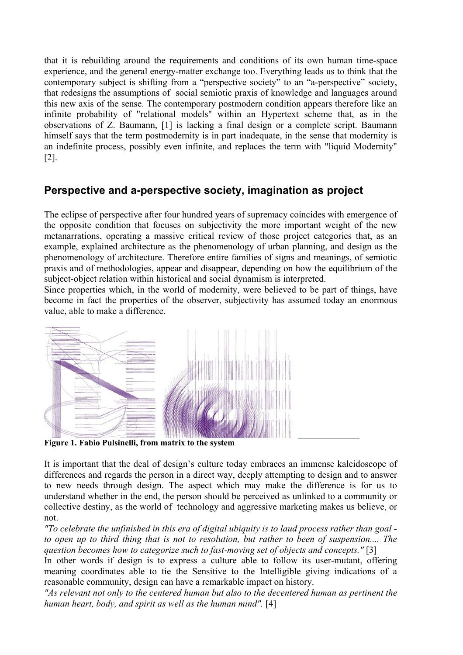that it is rebuilding around the requirements and conditions of its own human time-space experience, and the general energy-matter exchange too. Everything leads us to think that the contemporary subject is shifting from a "perspective society" to an "a-perspective" society, that redesigns the assumptions of social semiotic praxis of knowledge and languages around this new axis of the sense. The contemporary postmodern condition appears therefore like an infinite probability of "relational models" within an Hypertext scheme that, as in the observations of Z. Baumann, [1] is lacking a final design or a complete script. Baumann himself says that the term postmodernity is in part inadequate, in the sense that modernity is an indefinite process, possibly even infinite, and replaces the term with "liquid Modernity" [2].

# **Perspective and a-perspective society, imagination as project**

The eclipse of perspective after four hundred years of supremacy coincides with emergence of the opposite condition that focuses on subjectivity the more important weight of the new metanarrations, operating a massive critical review of those project categories that, as an example, explained architecture as the phenomenology of urban planning, and design as the phenomenology of architecture. Therefore entire families of signs and meanings, of semiotic praxis and of methodologies, appear and disappear, depending on how the equilibrium of the subject-object relation within historical and social dynamism is interpreted.

Since properties which, in the world of modernity, were believed to be part of things, have become in fact the properties of the observer, subjectivity has assumed today an enormous value, able to make a difference.



 **Figure 1. Fabio Pulsinelli, from matrix to the system** 

It is important that the deal of design's culture today embraces an immense kaleidoscope of differences and regards the person in a direct way, deeply attempting to design and to answer to new needs through design. The aspect which may make the difference is for us to understand whether in the end, the person should be perceived as unlinked to a community or collective destiny, as the world of technology and aggressive marketing makes us believe, or not.

*"To celebrate the unfinished in this era of digital ubiquity is to laud process rather than goal to open up to third thing that is not to resolution, but rather to been of suspension.... The question becomes how to categorize such to fast-moving set of objects and concepts."* [3]

In other words if design is to express a culture able to follow its user-mutant, offering meaning coordinates able to tie the Sensitive to the Intelligible giving indications of a reasonable community, design can have a remarkable impact on history.

*"As relevant not only to the centered human but also to the decentered human as pertinent the human heart, body, and spirit as well as the human mind".* [4]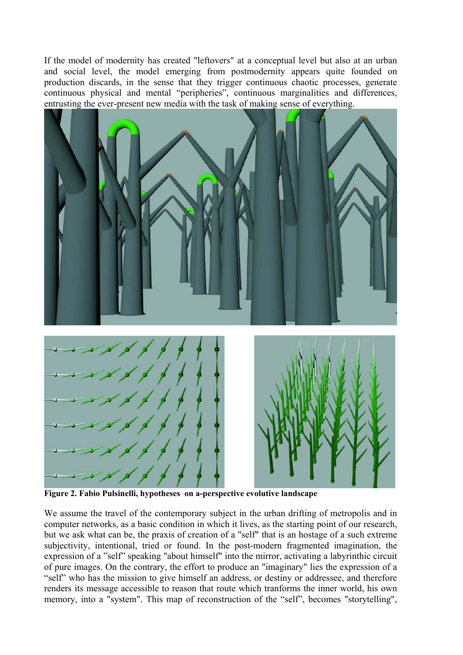If the model of modernity has created "leftovers" at a conceptual level but also at an urban and social level, the model emerging from postmodernity appears quite founded on production discards, in the sense that they trigger continuous chaotic processes, generate continuous physical and mental "peripheries", continuous marginalities and differences, entrusting the ever-present new media with the task of making sense of everything.



**Figure 2. Fabio Pulsinelli, hypotheses on a-perspective evolutive landscape** 

We assume the travel of the contemporary subject in the urban drifting of metropolis and in computer networks, as a basic condition in which it lives, as the starting point of our research, but we ask what can be, the praxis of creation of a "self" that is an hostage of a such extreme subjectivity, intentional, tried or found. In the post-modern fragmented imagination, the expression of a "self" speaking "about himself" into the mirror, activating a labyrinthic circuit of pure images. On the contrary, the effort to produce an "imaginary" lies the expression of a "self" who has the mission to give himself an address, or destiny or addressee, and therefore renders its message accessible to reason that route which tranforms the inner world, his own memory, into a "system". This map of reconstruction of the "self", becomes "storytelling",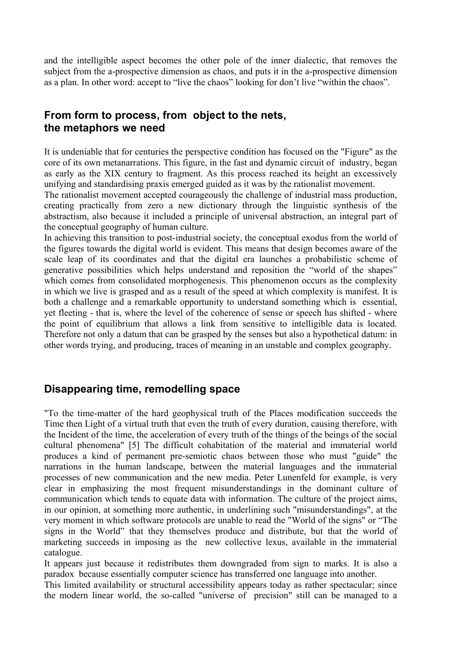and the intelligible aspect becomes the other pole of the inner dialectic, that removes the subject from the a-prospective dimension as chaos, and puts it in the a-prospective dimension as a plan. In other word: accept to "live the chaos" looking for don't live "within the chaos".

# **From form to process, from object to the nets, the metaphors we need**

It is undeniable that for centuries the perspective condition has focused on the "Figure" as the core of its own metanarrations. This figure, in the fast and dynamic circuit of industry, began as early as the XIX century to fragment. As this process reached its height an excessively unifying and standardising praxis emerged guided as it was by the rationalist movement.

The rationalist movement accepted courageously the challenge of industrial mass production, creating practically from zero a new dictionary through the linguistic synthesis of the abstractism, also because it included a principle of universal abstraction, an integral part of the conceptual geography of human culture.

In achieving this transition to post-industrial society, the conceptual exodus from the world of the figures towards the digital world is evident. This means that design becomes aware of the scale leap of its coordinates and that the digital era launches a probabilistic scheme of generative possibilities which helps understand and reposition the "world of the shapes" which comes from consolidated morphogenesis. This phenomenon occurs as the complexity in which we live is grasped and as a result of the speed at which complexity is manifest. It is both a challenge and a remarkable opportunity to understand something which is essential, yet fleeting - that is, where the level of the coherence of sense or speech has shifted - where the point of equilibrium that allows a link from sensitive to intelligible data is located. Therefore not only a datum that can be grasped by the senses but also a hypothetical datum: in other words trying, and producing, traces of meaning in an unstable and complex geography.

## **Disappearing time, remodelling space**

"To the time-matter of the hard geophysical truth of the Places modification succeeds the Time then Light of a virtual truth that even the truth of every duration, causing therefore, with the Incident of the time, the acceleration of every truth of the things of the beings of the social cultural phenomena" [5] The difficult cohabitation of the material and immaterial world produces a kind of permanent pre-semiotic chaos between those who must "guide" the narrations in the human landscape, between the material languages and the immaterial processes of new communication and the new media. Peter Lunenfeld for example, is very clear in emphasizing the most frequent misunderstandings in the dominant culture of communication which tends to equate data with information. The culture of the project aims, in our opinion, at something more authentic, in underlining such "misunderstandings", at the very moment in which software protocols are unable to read the "World of the signs" or "The signs in the World" that they themselves produce and distribute, but that the world of marketing succeeds in imposing as the new collective lexus, available in the immaterial catalogue.

It appears just because it redistributes them downgraded from sign to marks. It is also a paradox because essentially computer science has transferred one language into another.

This limited availability or structural accessibility appears today as rather spectacular; since the modern linear world, the so-called "universe of precision" still can be managed to a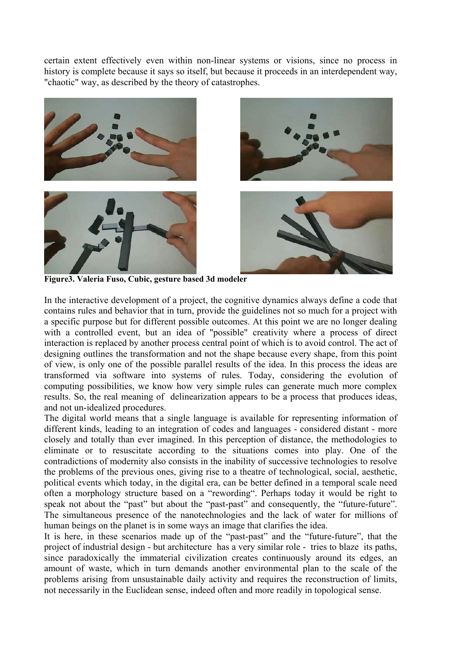certain extent effectively even within non-linear systems or visions, since no process in history is complete because it says so itself, but because it proceeds in an interdependent way, "chaotic" way, as described by the theory of catastrophes.



**Figure3. Valeria Fuso, Cubic, gesture based 3d modeler** 

In the interactive development of a project, the cognitive dynamics always define a code that contains rules and behavior that in turn, provide the guidelines not so much for a project with a specific purpose but for different possible outcomes. At this point we are no longer dealing with a controlled event, but an idea of "possible" creativity where a process of direct interaction is replaced by another process central point of which is to avoid control. The act of designing outlines the transformation and not the shape because every shape, from this point of view, is only one of the possible parallel results of the idea. In this process the ideas are transformed via software into systems of rules. Today, considering the evolution of computing possibilities, we know how very simple rules can generate much more complex results. So, the real meaning of delinearization appears to be a process that produces ideas, and not un-idealized procedures.

The digital world means that a single language is available for representing information of different kinds, leading to an integration of codes and languages - considered distant - more closely and totally than ever imagined. In this perception of distance, the methodologies to eliminate or to resuscitate according to the situations comes into play. One of the contradictions of modernity also consists in the inability of successive technologies to resolve the problems of the previous ones, giving rise to a theatre of technological, social, aesthetic, political events which today, in the digital era, can be better defined in a temporal scale need often a morphology structure based on a "rewording". Perhaps today it would be right to speak not about the "past" but about the "past-past" and consequently, the "future-future". The simultaneous presence of the nanotechnologies and the lack of water for millions of human beings on the planet is in some ways an image that clarifies the idea.

It is here, in these scenarios made up of the "past-past" and the "future-future", that the project of industrial design - but architecture has a very similar role - tries to blaze its paths, since paradoxically the immaterial civilization creates continuously around its edges, an amount of waste, which in turn demands another environmental plan to the scale of the problems arising from unsustainable daily activity and requires the reconstruction of limits, not necessarily in the Euclidean sense, indeed often and more readily in topological sense.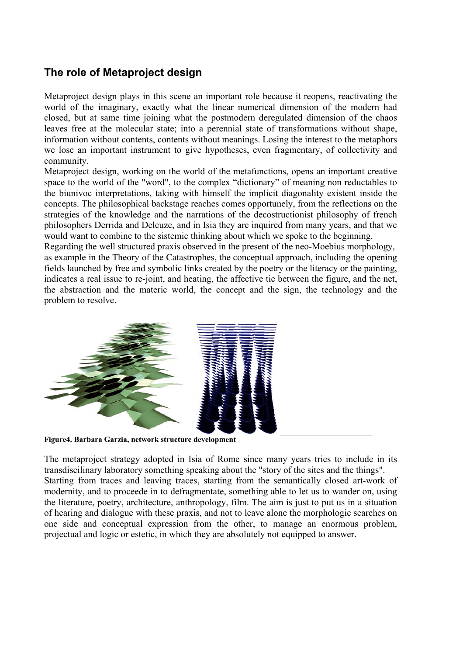# **The role of Metaproject design**

Metaproject design plays in this scene an important role because it reopens, reactivating the world of the imaginary, exactly what the linear numerical dimension of the modern had closed, but at same time joining what the postmodern deregulated dimension of the chaos leaves free at the molecular state; into a perennial state of transformations without shape, information without contents, contents without meanings. Losing the interest to the metaphors we lose an important instrument to give hypotheses, even fragmentary, of collectivity and community.

Metaproject design, working on the world of the metafunctions, opens an important creative space to the world of the "word", to the complex "dictionary" of meaning non reductables to the biunivoc interpretations, taking with himself the implicit diagonality existent inside the concepts. The philosophical backstage reaches comes opportunely, from the reflections on the strategies of the knowledge and the narrations of the decostructionist philosophy of french philosophers Derrida and Deleuze, and in Isia they are inquired from many years, and that we would want to combine to the sistemic thinking about which we spoke to the beginning.

Regarding the well structured praxis observed in the present of the neo-Moebius morphology, as example in the Theory of the Catastrophes, the conceptual approach, including the opening fields launched by free and symbolic links created by the poetry or the literacy or the painting, indicates a real issue to re-joint, and heating, the affective tie between the figure, and the net, the abstraction and the materic world, the concept and the sign, the technology and the problem to resolve.



 **Figure4. Barbara Garzia, network structure development** 

The metaproject strategy adopted in Isia of Rome since many years tries to include in its transdiscilinary laboratory something speaking about the "story of the sites and the things". Starting from traces and leaving traces, starting from the semantically closed art-work of modernity, and to proceede in to defragmentate, something able to let us to wander on, using the literature, poetry, architecture, anthropology, film. The aim is just to put us in a situation of hearing and dialogue with these praxis, and not to leave alone the morphologic searches on one side and conceptual expression from the other, to manage an enormous problem, projectual and logic or estetic, in which they are absolutely not equipped to answer.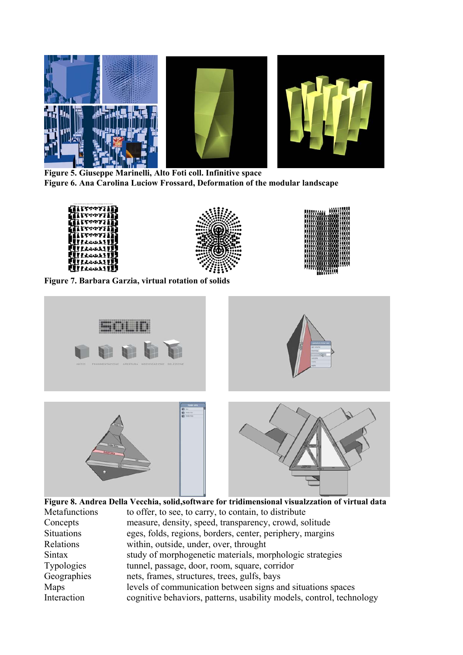

 **Figure 5. Giuseppe Marinelli, Alto Foti coll. Infinitive space Figure 6. Ana Carolina Luciow Frossard, Deformation of the modular landscape** 





 **Figure 8. Andrea Della Vecchia, solid,software for tridimensional visualzzation of virtual data**  Metafunctions to offer, to see, to carry, to contain, to distribute Concepts measure, density, speed, transparency, crowd, solitude Situations eges, folds, regions, borders, center, periphery, margins Relations within, outside, under, over, throught Sintax study of morphogenetic materials, morphologic strategies Typologies tunnel, passage, door, room, square, corridor Geographies nets, frames, structures, trees, gulfs, bays Maps levels of communication between signs and situations spaces Interaction cognitive behaviors, patterns, usability models, control, technology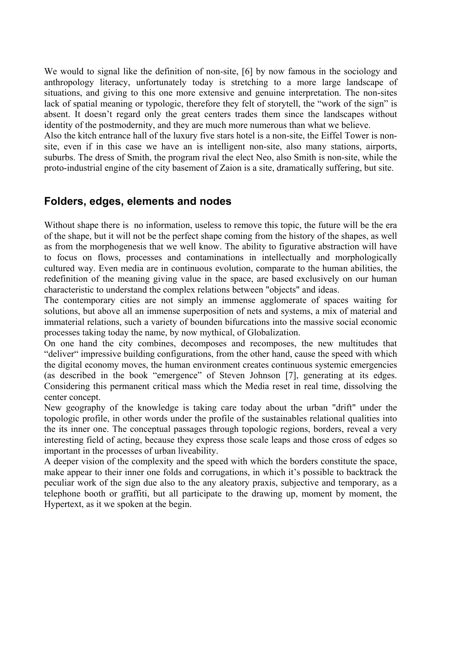We would to signal like the definition of non-site, [6] by now famous in the sociology and anthropology literacy, unfortunately today is stretching to a more large landscape of situations, and giving to this one more extensive and genuine interpretation. The non-sites lack of spatial meaning or typologic, therefore they felt of storytell, the "work of the sign" is absent. It doesn't regard only the great centers trades them since the landscapes without identity of the postmodernity, and they are much more numerous than what we believe.

Also the kitch entrance hall of the luxury five stars hotel is a non-site, the Eiffel Tower is nonsite, even if in this case we have an is intelligent non-site, also many stations, airports, suburbs. The dress of Smith, the program rival the elect Neo, also Smith is non-site, while the proto-industrial engine of the city basement of Zaion is a site, dramatically suffering, but site.

## **Folders, edges, elements and nodes**

Without shape there is no information, useless to remove this topic, the future will be the era of the shape, but it will not be the perfect shape coming from the history of the shapes, as well as from the morphogenesis that we well know. The ability to figurative abstraction will have to focus on flows, processes and contaminations in intellectually and morphologically cultured way. Even media are in continuous evolution, comparate to the human abilities, the redefinition of the meaning giving value in the space, are based exclusively on our human characteristic to understand the complex relations between "objects" and ideas.

The contemporary cities are not simply an immense agglomerate of spaces waiting for solutions, but above all an immense superposition of nets and systems, a mix of material and immaterial relations, such a variety of bounden bifurcations into the massive social economic processes taking today the name, by now mythical, of Globalization.

On one hand the city combines, decomposes and recomposes, the new multitudes that "deliver" impressive building configurations, from the other hand, cause the speed with which the digital economy moves, the human environment creates continuous systemic emergencies (as described in the book "emergence" of Steven Johnson [7], generating at its edges. Considering this permanent critical mass which the Media reset in real time, dissolving the center concept.

New geography of the knowledge is taking care today about the urban "drift" under the topologic profile, in other words under the profile of the sustainables relational qualities into the its inner one. The conceptual passages through topologic regions, borders, reveal a very interesting field of acting, because they express those scale leaps and those cross of edges so important in the processes of urban liveability.

A deeper vision of the complexity and the speed with which the borders constitute the space, make appear to their inner one folds and corrugations, in which it's possible to backtrack the peculiar work of the sign due also to the any aleatory praxis, subjective and temporary, as a telephone booth or graffiti, but all participate to the drawing up, moment by moment, the Hypertext, as it we spoken at the begin.